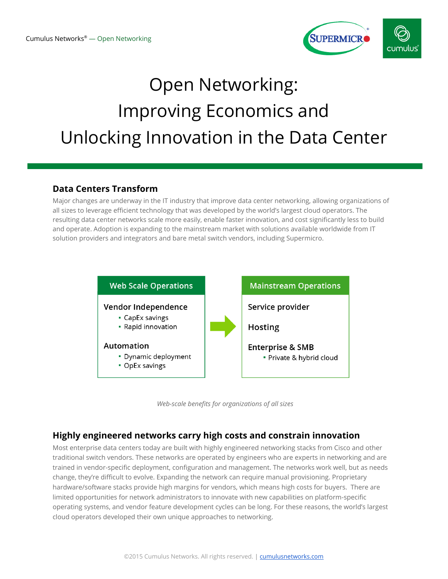

# Open Networking: Improving Economics and Unlocking Innovation in the Data Center

## **Data Centers Transform**

Major changes are underway in the IT industry that improve data center networking, allowing organizations of all sizes to leverage efficient technology that was developed by the world's largest cloud operators. The resulting data center networks scale more easily, enable faster innovation, and cost significantly less to build and operate. Adoption is expanding to the mainstream market with solutions available worldwide from IT solution providers and integrators and bare metal switch vendors, including Supermicro.





## **Highly engineered networks carry high costs and constrain innovation**

Most enterprise data centers today are built with highly engineered networking stacks from Cisco and other traditional switch vendors. These networks are operated by engineers who are experts in networking and are trained in vendor-specific deployment, configuration and management. The networks work well, but as needs change, they're difficult to evolve. Expanding the network can require manual provisioning. Proprietary hardware/software stacks provide high margins for vendors, which means high costs for buyers. There are limited opportunities for network administrators to innovate with new capabilities on platform-specific operating systems, and vendor feature development cycles can be long. For these reasons, the world's largest cloud operators developed their own unique approaches to networking.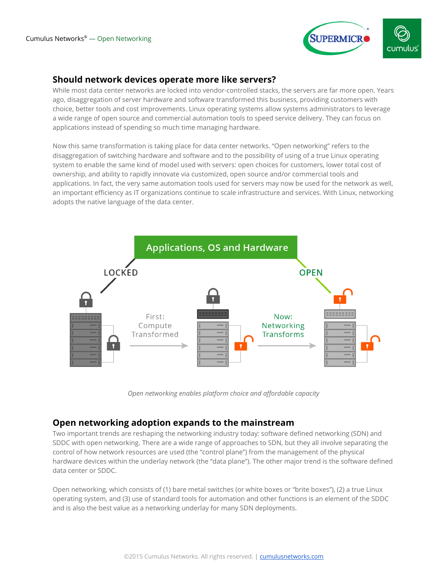

## **Should network devices operate more like servers?**

While most data center networks are locked into vendor-controlled stacks, the servers are far more open. Years ago, disaggregation of server hardware and software transformed this business, providing customers with choice, better tools and cost improvements. Linux operating systems allow systems administrators to leverage a wide range of open source and commercial automation tools to speed service delivery. They can focus on applications instead of spending so much time managing hardware.

Now this same transformation is taking place for data center networks. "Open networking" refers to the disaggregation of switching hardware and software and to the possibility of using of a true Linux operating system to enable the same kind of model used with servers: open choices for customers, lower total cost of ownership, and ability to rapidly innovate via customized, open source and/or commercial tools and applications. In fact, the very same automation tools used for servers may now be used for the network as well, an important efficiency as IT organizations continue to scale infrastructure and services. With Linux, networking adopts the native language of the data center.



*Open networking enables platform choice and affordable capacity*

#### **Open networking adoption expands to the mainstream**

Two important trends are reshaping the networking industry today: software defined networking (SDN) and SDDC with open networking. There are a wide range of approaches to SDN, but they all involve separating the control of how network resources are used (the "control plane") from the management of the physical hardware devices within the underlay network (the "data plane"). The other major trend is the software defined data center or SDDC.

Open networking, which consists of (1) bare metal switches (or white boxes or "brite boxes"), (2) a true Linux operating system, and (3) use of standard tools for automation and other functions is an element of the SDDC and is also the best value as a networking underlay for many SDN deployments.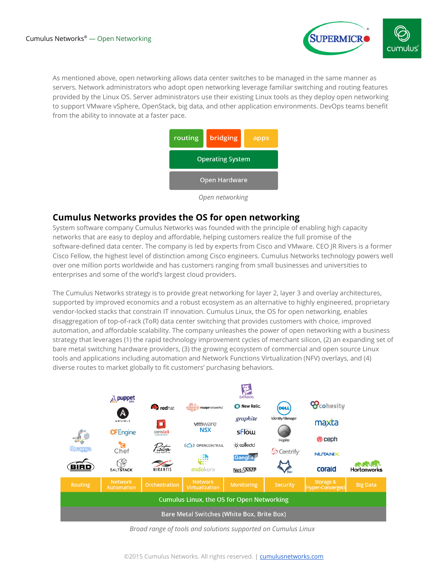

As mentioned above, open networking allows data center switches to be managed in the same manner as servers. Network administrators who adopt open networking leverage familiar switching and routing features provided by the Linux OS. Server administrators use their existing Linux tools as they deploy open networking to support VMware vSphere, OpenStack, big data, and other application environments. DevOps teams benefit from the ability to innovate at a faster pace.



*Open networking*

#### **Cumulus Networks provides the OS for open networking**

System software company Cumulus Networks was founded with the principle of enabling high capacity networks that are easy to deploy and affordable, helping customers realize the full promise of the software-defined data center. The company is led by experts from Cisco and VMware. CEO JR Rivers is a former Cisco Fellow, the highest level of distinction among Cisco engineers. Cumulus Networks technology powers well over one million ports worldwide and has customers ranging from small businesses and universities to enterprises and some of the world's largest cloud providers.

The Cumulus Networks strategy is to provide great networking for layer 2, layer 3 and overlay architectures, supported by improved economics and a robust ecosystem as an alternative to highly engineered, proprietary vendor-locked stacks that constrain IT innovation. Cumulus Linux, the OS for open networking, enables disaggregation of top-of-rack (ToR) data center switching that provides customers with choice, improved automation, and affordable scalability. The company unleashes the power of open networking with a business strategy that leverages (1) the rapid technology improvement cycles of merchant silicon, (2) an expanding set of bare metal switching hardware providers, (3) the growing ecosystem of commercial and open source Linux tools and applications including automation and Network Functions Virtualization (NFV) overlays, and (4) diverse routes to market globally to fit customers' purchasing behaviors.



*Broad range of tools and solutions supported on Cumulus Linux*